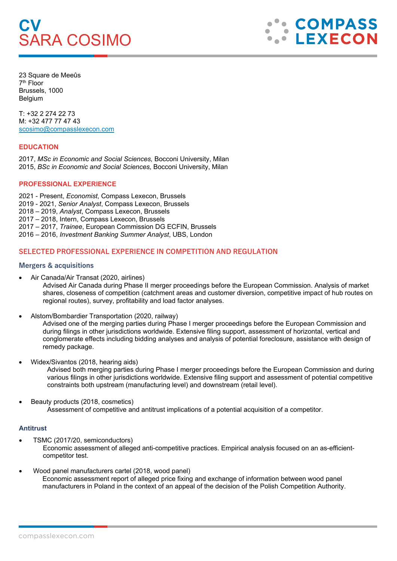# **CV** SARA COSIMO

**COMPASS LEXECON** 

23 Square de Meeûs 7th Floor Brussels, 1000 Belgium

T: +32 2 274 22 73 M: +32 477 77 47 43 [scosimo@compasslexecon.com](mailto:scosimo@compasslexecon.com)

# **EDUCATION**

2017, *MSc in Economic and Social Sciences,* Bocconi University, Milan 2015, *BSc in Economic and Social Sciences,* Bocconi University, Milan

#### **PROFESSIONAL EXPERIENCE**

2021 - Present, *Economist*, Compass Lexecon, Brussels 2019 - 2021, *Senior Analyst*, Compass Lexecon, Brussels 2018 – 2019, *Analyst*, Compass Lexecon, Brussels 2017 – 2018, Intern, Compass Lexecon, Brussels 2017 – 2017, *Trainee*, European Commission DG ECFIN, Brussels 2016 – 2016, *Investment Banking Summer Analyst*, UBS, London

# **SELECTED PROFESSIONAL EXPERIENCE IN COMPETITION AND REGULATION**

#### **Mergers & acquisitions**

• Air Canada/Air Transat (2020, airlines)

Advised Air Canada during Phase II merger proceedings before the European Commission. Analysis of market shares, closeness of competition (catchment areas and customer diversion, competitive impact of hub routes on regional routes), survey, profitability and load factor analyses.

• Alstom/Bombardier Transportation (2020, railway)

Advised one of the merging parties during Phase I merger proceedings before the European Commission and during filings in other jurisdictions worldwide. Extensive filing support, assessment of horizontal, vertical and conglomerate effects including bidding analyses and analysis of potential foreclosure, assistance with design of remedy package.

• Widex/Sivantos (2018, hearing aids)

Advised both merging parties during Phase I merger proceedings before the European Commission and during various filings in other jurisdictions worldwide. Extensive filing support and assessment of potential competitive constraints both upstream (manufacturing level) and downstream (retail level).

• Beauty products (2018, cosmetics) Assessment of competitive and antitrust implications of a potential acquisition of a competitor.

## **Antitrust**

- TSMC (2017/20, semiconductors) Economic assessment of alleged anti-competitive practices. Empirical analysis focused on an as-efficientcompetitor test.
- Wood panel manufacturers cartel (2018, wood panel) Economic assessment report of alleged price fixing and exchange of information between wood panel manufacturers in Poland in the context of an appeal of the decision of the Polish Competition Authority.